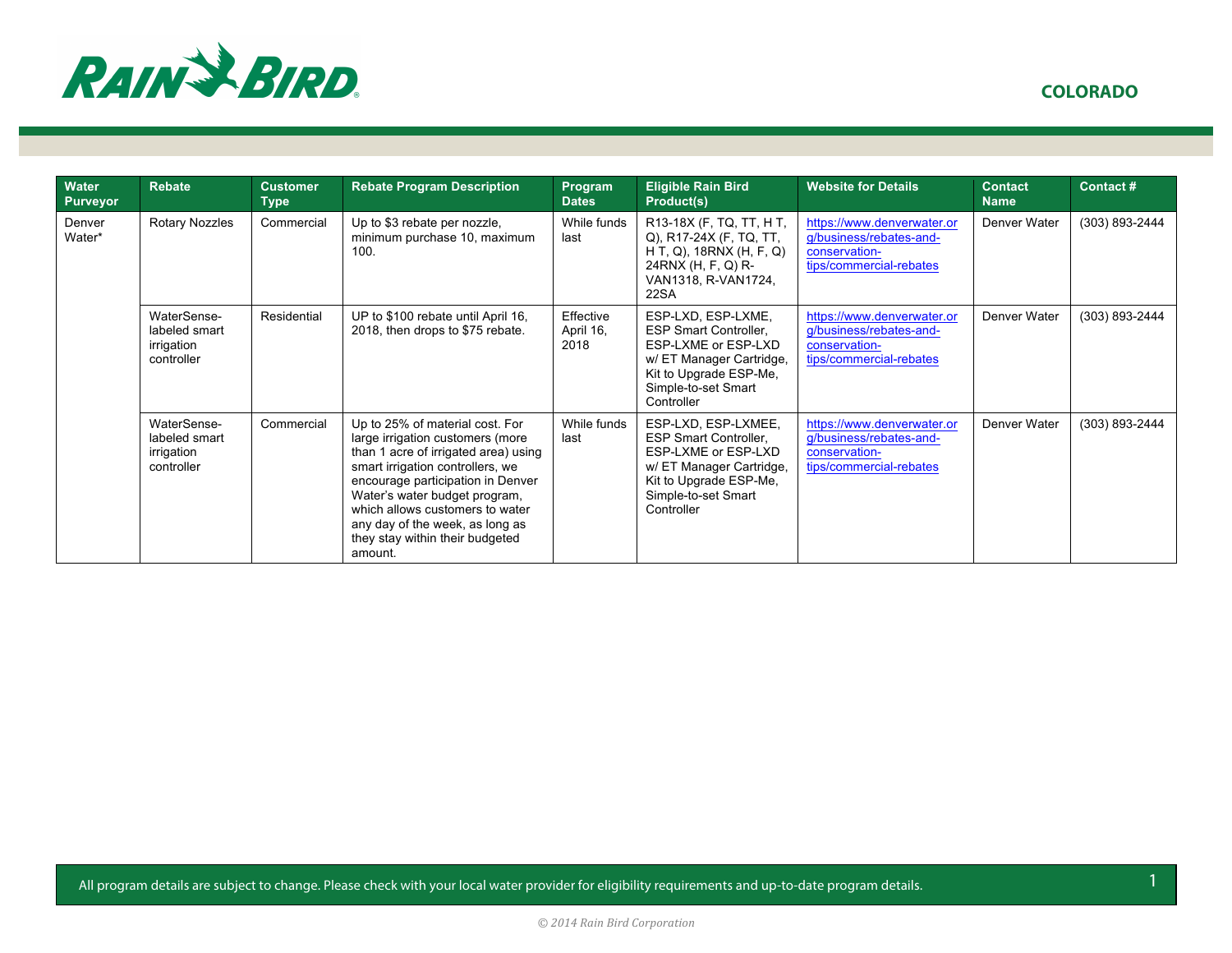

| Water<br><b>Purveyor</b> | <b>Rebate</b>                                            | <b>Customer</b><br><b>Type</b> | <b>Rebate Program Description</b>                                                                                                                                                                                                                                                                                                         | Program<br><b>Dates</b>        | <b>Eligible Rain Bird</b><br>Product(s)                                                                                                                              | <b>Website for Details</b>                                                                        | Contact<br><b>Name</b> | Contact#       |
|--------------------------|----------------------------------------------------------|--------------------------------|-------------------------------------------------------------------------------------------------------------------------------------------------------------------------------------------------------------------------------------------------------------------------------------------------------------------------------------------|--------------------------------|----------------------------------------------------------------------------------------------------------------------------------------------------------------------|---------------------------------------------------------------------------------------------------|------------------------|----------------|
| <b>Denver</b><br>Water*  | <b>Rotary Nozzles</b>                                    | Commercial                     | Up to \$3 rebate per nozzle,<br>minimum purchase 10, maximum<br>100.                                                                                                                                                                                                                                                                      | While funds<br>last            | R13-18X (F, TQ, TT, HT,<br>Q), R17-24X (F, TQ, TT,<br>H T, Q), 18RNX (H, F, Q)<br>24RNX (H, F, Q) R-<br>VAN1318, R-VAN1724,<br>22SA                                  | https://www.denverwater.or<br>g/business/rebates-and-<br>conservation-<br>tips/commercial-rebates | Denver Water           | (303) 893-2444 |
|                          | WaterSense-<br>labeled smart<br>irrigation<br>controller | Residential                    | UP to \$100 rebate until April 16,<br>2018, then drops to \$75 rebate.                                                                                                                                                                                                                                                                    | Effective<br>April 16,<br>2018 | ESP-LXD, ESP-LXME,<br><b>ESP Smart Controller,</b><br>ESP-LXME or ESP-LXD<br>w/ ET Manager Cartridge,<br>Kit to Upgrade ESP-Me,<br>Simple-to-set Smart<br>Controller | https://www.denverwater.or<br>g/business/rebates-and-<br>conservation-<br>tips/commercial-rebates | Denver Water           | (303) 893-2444 |
|                          | WaterSense-<br>labeled smart<br>irrigation<br>controller | Commercial                     | Up to 25% of material cost. For<br>large irrigation customers (more<br>than 1 acre of irrigated area) using<br>smart irrigation controllers, we<br>encourage participation in Denver<br>Water's water budget program,<br>which allows customers to water<br>any day of the week, as long as<br>they stay within their budgeted<br>amount. | While funds<br>last            | ESP-LXD, ESP-LXMEE,<br>ESP Smart Controller,<br>ESP-LXME or ESP-LXD<br>w/ ET Manager Cartridge,<br>Kit to Upgrade ESP-Me,<br>Simple-to-set Smart<br>Controller       | https://www.denverwater.or<br>g/business/rebates-and-<br>conservation-<br>tips/commercial-rebates | Denver Water           | (303) 893-2444 |

All program details are subject to change. Please check with your local water provider for eligibility requirements and up-to-date program details.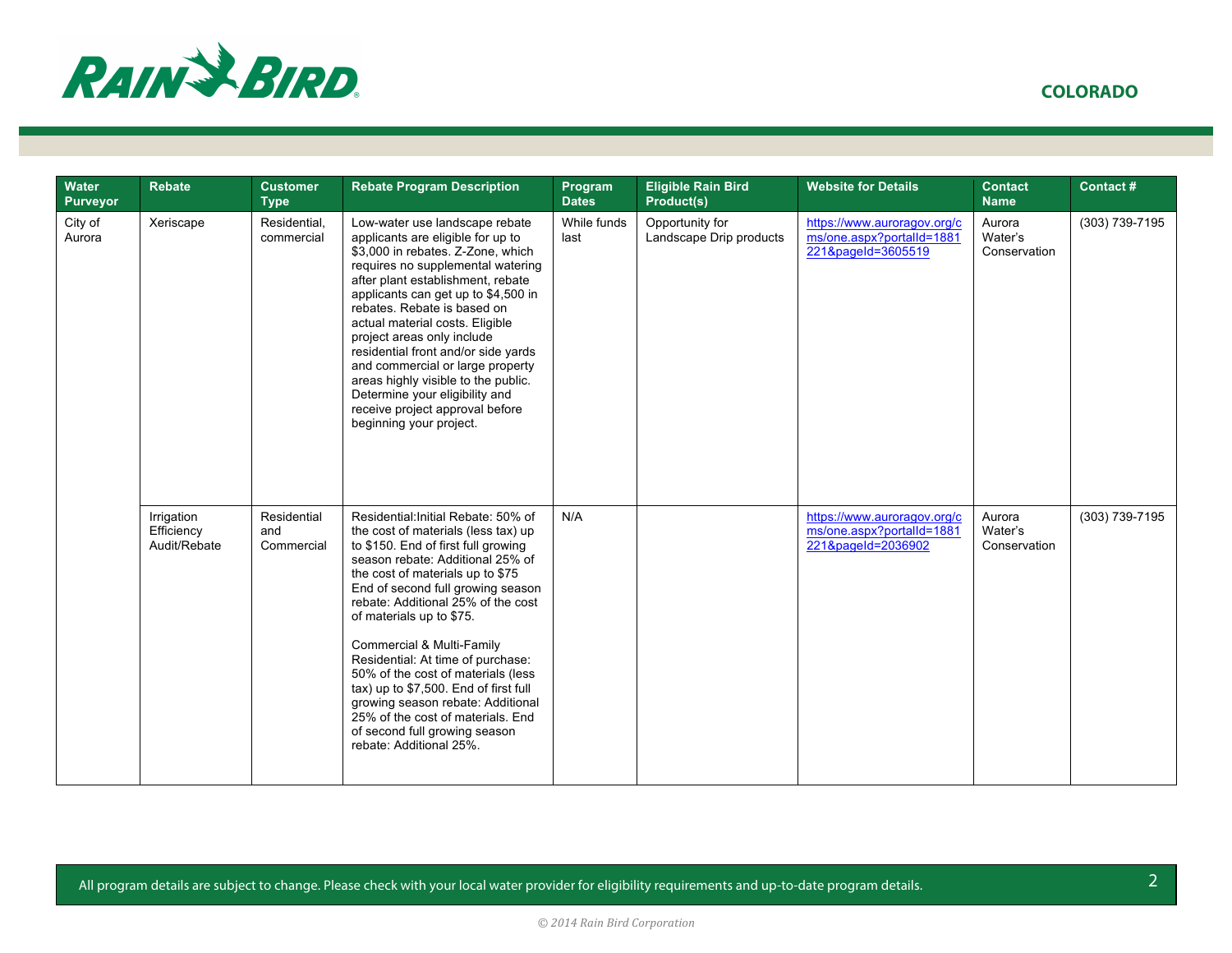

| Water<br><b>Purveyor</b> | <b>Rebate</b>                            | <b>Customer</b><br><b>Type</b>   | <b>Rebate Program Description</b>                                                                                                                                                                                                                                                                                                                                                                                                                                                                                                                                                       | Program<br><b>Dates</b> | <b>Eligible Rain Bird</b><br>Product(s)    | <b>Website for Details</b>                                                     | <b>Contact</b><br><b>Name</b>     | Contact#       |
|--------------------------|------------------------------------------|----------------------------------|-----------------------------------------------------------------------------------------------------------------------------------------------------------------------------------------------------------------------------------------------------------------------------------------------------------------------------------------------------------------------------------------------------------------------------------------------------------------------------------------------------------------------------------------------------------------------------------------|-------------------------|--------------------------------------------|--------------------------------------------------------------------------------|-----------------------------------|----------------|
| City of<br>Aurora        | Xeriscape                                | Residential,<br>commercial       | Low-water use landscape rebate<br>applicants are eligible for up to<br>\$3,000 in rebates. Z-Zone, which<br>requires no supplemental watering<br>after plant establishment, rebate<br>applicants can get up to \$4,500 in<br>rebates. Rebate is based on<br>actual material costs. Eligible<br>project areas only include<br>residential front and/or side yards<br>and commercial or large property<br>areas highly visible to the public.<br>Determine your eligibility and<br>receive project approval before<br>beginning your project.                                             | While funds<br>last     | Opportunity for<br>Landscape Drip products | https://www.auroragov.org/c<br>ms/one.aspx?portalId=1881<br>221&pageId=3605519 | Aurora<br>Water's<br>Conservation | (303) 739-7195 |
|                          | Irrigation<br>Efficiency<br>Audit/Rebate | Residential<br>and<br>Commercial | Residential: Initial Rebate: 50% of<br>the cost of materials (less tax) up<br>to \$150. End of first full growing<br>season rebate: Additional 25% of<br>the cost of materials up to \$75<br>End of second full growing season<br>rebate: Additional 25% of the cost<br>of materials up to \$75.<br>Commercial & Multi-Family<br>Residential: At time of purchase:<br>50% of the cost of materials (less<br>tax) up to \$7,500. End of first full<br>growing season rebate: Additional<br>25% of the cost of materials. End<br>of second full growing season<br>rebate: Additional 25%. | N/A                     |                                            | https://www.auroragov.org/c<br>ms/one.aspx?portalId=1881<br>221&pageId=2036902 | Aurora<br>Water's<br>Conservation | (303) 739-7195 |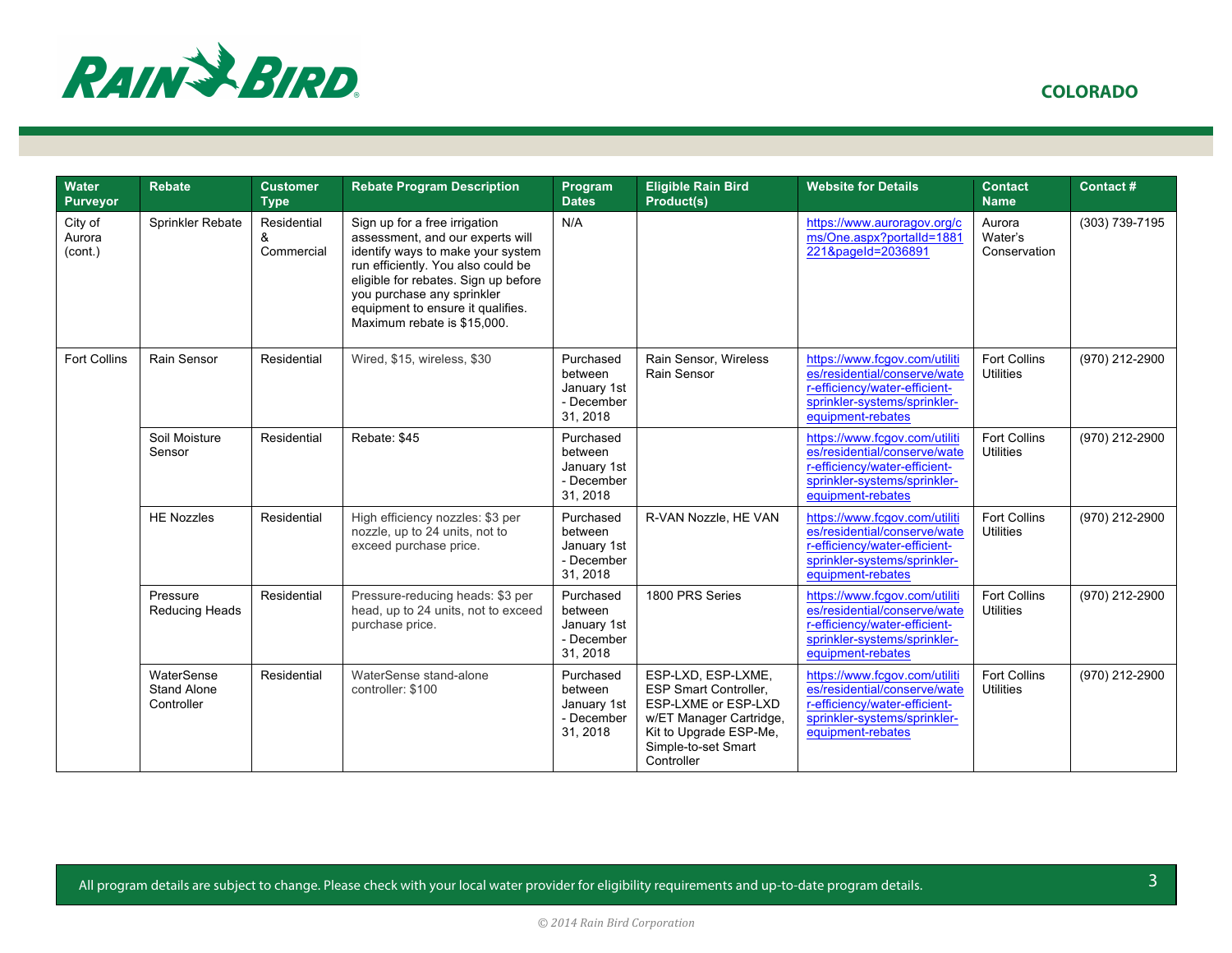

 **COLORADO**

| <b>Water</b><br><b>Purveyor</b> | <b>Rebate</b>                                  | <b>Customer</b><br><b>Type</b> | <b>Rebate Program Description</b>                                                                                                                                                                                                                                                      | Program<br><b>Dates</b>                                       | <b>Eligible Rain Bird</b><br>Product(s)                                                                                                                             | <b>Website for Details</b>                                                                                                                          | <b>Contact</b><br><b>Name</b>           | Contact#       |
|---------------------------------|------------------------------------------------|--------------------------------|----------------------------------------------------------------------------------------------------------------------------------------------------------------------------------------------------------------------------------------------------------------------------------------|---------------------------------------------------------------|---------------------------------------------------------------------------------------------------------------------------------------------------------------------|-----------------------------------------------------------------------------------------------------------------------------------------------------|-----------------------------------------|----------------|
| City of<br>Aurora<br>(cont.)    | Sprinkler Rebate                               | Residential<br>&<br>Commercial | Sign up for a free irrigation<br>assessment, and our experts will<br>identify ways to make your system<br>run efficiently. You also could be<br>eligible for rebates. Sign up before<br>you purchase any sprinkler<br>equipment to ensure it qualifies.<br>Maximum rebate is \$15,000. | N/A                                                           |                                                                                                                                                                     | https://www.auroragov.org/c<br>ms/One.aspx?portalId=1881<br>221&pageId=2036891                                                                      | Aurora<br>Water's<br>Conservation       | (303) 739-7195 |
| <b>Fort Collins</b>             | Rain Sensor                                    | Residential                    | Wired, \$15, wireless, \$30                                                                                                                                                                                                                                                            | Purchased<br>between<br>January 1st<br>- December<br>31, 2018 | Rain Sensor, Wireless<br>Rain Sensor                                                                                                                                | https://www.fcgov.com/utiliti<br>es/residential/conserve/wate<br>r-efficiency/water-efficient-<br>sprinkler-systems/sprinkler-<br>equipment-rebates | <b>Fort Collins</b><br><b>Utilities</b> | (970) 212-2900 |
|                                 | Soil Moisture<br>Sensor                        | Residential                    | Rebate: \$45                                                                                                                                                                                                                                                                           | Purchased<br>between<br>January 1st<br>- December<br>31, 2018 |                                                                                                                                                                     | https://www.fcgov.com/utiliti<br>es/residential/conserve/wate<br>r-efficiency/water-efficient-<br>sprinkler-systems/sprinkler-<br>equipment-rebates | Fort Collins<br><b>Utilities</b>        | (970) 212-2900 |
|                                 | <b>HE Nozzles</b>                              | Residential                    | High efficiency nozzles: \$3 per<br>nozzle, up to 24 units, not to<br>exceed purchase price.                                                                                                                                                                                           | Purchased<br>between<br>January 1st<br>- December<br>31, 2018 | R-VAN Nozzle, HE VAN                                                                                                                                                | https://www.fcgov.com/utiliti<br>es/residential/conserve/wate<br>r-efficiency/water-efficient-<br>sprinkler-systems/sprinkler-<br>equipment-rebates | <b>Fort Collins</b><br><b>Utilities</b> | (970) 212-2900 |
|                                 | Pressure<br>Reducing Heads                     | Residential                    | Pressure-reducing heads: \$3 per<br>head, up to 24 units, not to exceed<br>purchase price.                                                                                                                                                                                             | Purchased<br>between<br>January 1st<br>- December<br>31, 2018 | 1800 PRS Series                                                                                                                                                     | https://www.fcgov.com/utiliti<br>es/residential/conserve/wate<br>r-efficiency/water-efficient-<br>sprinkler-systems/sprinkler-<br>equipment-rebates | <b>Fort Collins</b><br><b>Utilities</b> | (970) 212-2900 |
|                                 | WaterSense<br><b>Stand Alone</b><br>Controller | Residential                    | WaterSense stand-alone<br>controller: \$100                                                                                                                                                                                                                                            | Purchased<br>between<br>January 1st<br>- December<br>31, 2018 | ESP-LXD, ESP-LXME,<br><b>ESP Smart Controller.</b><br>ESP-LXME or ESP-LXD<br>w/ET Manager Cartridge,<br>Kit to Upgrade ESP-Me,<br>Simple-to-set Smart<br>Controller | https://www.fcgov.com/utiliti<br>es/residential/conserve/wate<br>r-efficiency/water-efficient-<br>sprinkler-systems/sprinkler-<br>equipment-rebates | <b>Fort Collins</b><br><b>Utilities</b> | (970) 212-2900 |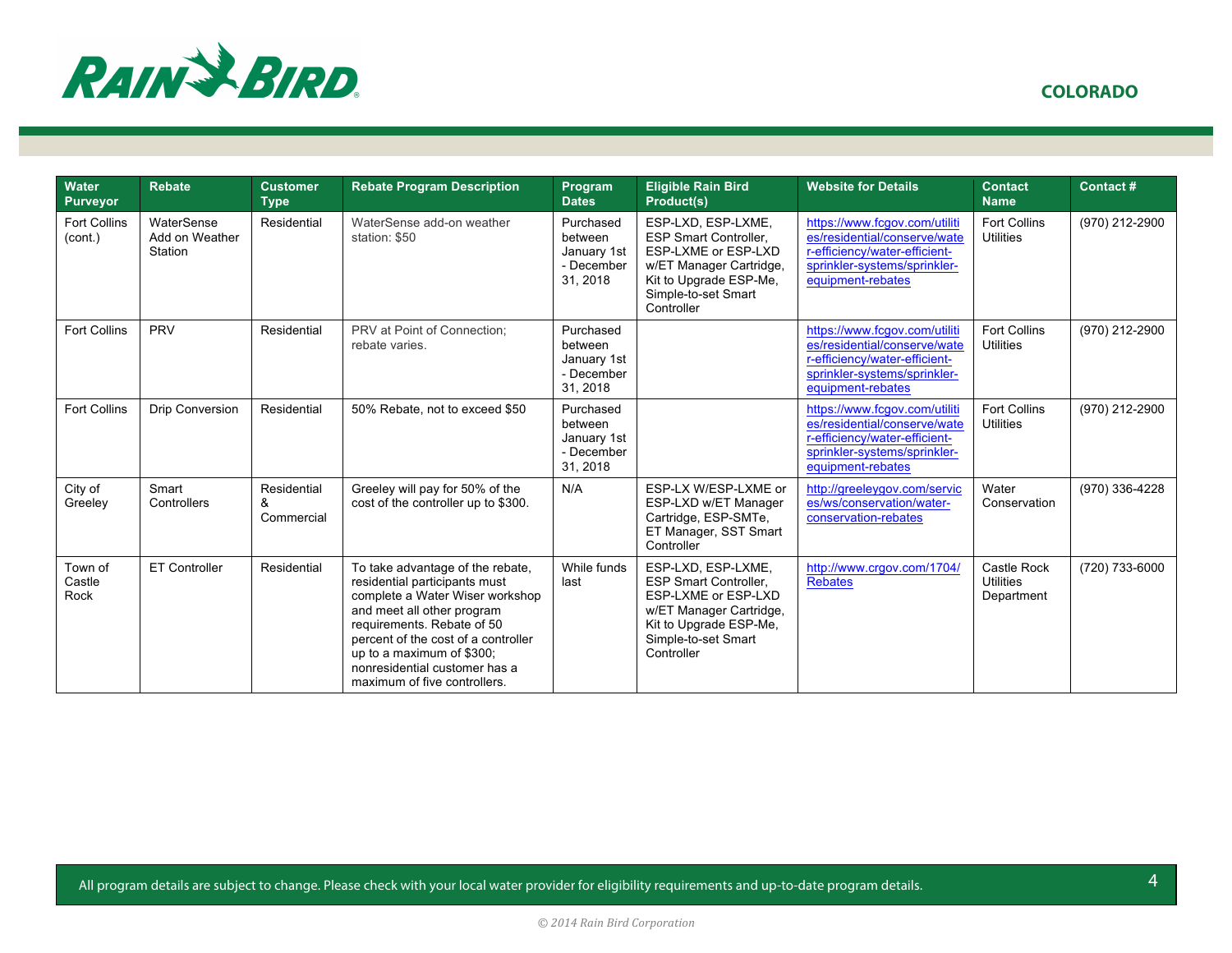

| Water<br><b>Purveyor</b>       | <b>Rebate</b>                           | <b>Customer</b><br><b>Type</b> | <b>Rebate Program Description</b>                                                                                                                                                                                                                                                                     | Program<br><b>Dates</b>                                       | <b>Eligible Rain Bird</b><br>Product(s)                                                                                                                             | <b>Website for Details</b>                                                                                                                          | <b>Contact</b><br><b>Name</b>                 | Contact#       |
|--------------------------------|-----------------------------------------|--------------------------------|-------------------------------------------------------------------------------------------------------------------------------------------------------------------------------------------------------------------------------------------------------------------------------------------------------|---------------------------------------------------------------|---------------------------------------------------------------------------------------------------------------------------------------------------------------------|-----------------------------------------------------------------------------------------------------------------------------------------------------|-----------------------------------------------|----------------|
| <b>Fort Collins</b><br>(cont.) | WaterSense<br>Add on Weather<br>Station | Residential                    | WaterSense add-on weather<br>station: \$50                                                                                                                                                                                                                                                            | Purchased<br>between<br>January 1st<br>- December<br>31, 2018 | ESP-LXD, ESP-LXME,<br><b>ESP Smart Controller.</b><br>ESP-LXME or ESP-LXD<br>w/ET Manager Cartridge,<br>Kit to Upgrade ESP-Me,<br>Simple-to-set Smart<br>Controller | https://www.fcqov.com/utiliti<br>es/residential/conserve/wate<br>r-efficiency/water-efficient-<br>sprinkler-systems/sprinkler-<br>equipment-rebates | <b>Fort Collins</b><br><b>Utilities</b>       | (970) 212-2900 |
| <b>Fort Collins</b>            | <b>PRV</b>                              | Residential                    | PRV at Point of Connection:<br>rebate varies.                                                                                                                                                                                                                                                         | Purchased<br>between<br>January 1st<br>- December<br>31, 2018 |                                                                                                                                                                     | https://www.fcgov.com/utiliti<br>es/residential/conserve/wate<br>r-efficiency/water-efficient-<br>sprinkler-systems/sprinkler-<br>equipment-rebates | <b>Fort Collins</b><br><b>Utilities</b>       | (970) 212-2900 |
| <b>Fort Collins</b>            | Drip Conversion                         | Residential                    | 50% Rebate, not to exceed \$50                                                                                                                                                                                                                                                                        | Purchased<br>between<br>January 1st<br>- December<br>31, 2018 |                                                                                                                                                                     | https://www.fcgov.com/utiliti<br>es/residential/conserve/wate<br>r-efficiency/water-efficient-<br>sprinkler-systems/sprinkler-<br>equipment-rebates | <b>Fort Collins</b><br><b>Utilities</b>       | (970) 212-2900 |
| City of<br>Greeley             | Smart<br>Controllers                    | Residential<br>&<br>Commercial | Greeley will pay for 50% of the<br>cost of the controller up to \$300.                                                                                                                                                                                                                                | N/A                                                           | ESP-LX W/ESP-LXME or<br>ESP-LXD w/ET Manager<br>Cartridge, ESP-SMTe,<br>ET Manager, SST Smart<br>Controller                                                         | http://greeleygov.com/servic<br>es/ws/conservation/water-<br>conservation-rebates                                                                   | Water<br>Conservation                         | (970) 336-4228 |
| Town of<br>Castle<br>Rock      | ET Controller                           | Residential                    | To take advantage of the rebate,<br>residential participants must<br>complete a Water Wiser workshop<br>and meet all other program<br>requirements. Rebate of 50<br>percent of the cost of a controller<br>up to a maximum of \$300;<br>nonresidential customer has a<br>maximum of five controllers. | While funds<br>last                                           | ESP-LXD, ESP-LXME,<br><b>ESP Smart Controller,</b><br>ESP-LXME or ESP-LXD<br>w/ET Manager Cartridge,<br>Kit to Upgrade ESP-Me,<br>Simple-to-set Smart<br>Controller | http://www.crgov.com/1704/<br><b>Rebates</b>                                                                                                        | Castle Rock<br><b>Utilities</b><br>Department | (720) 733-6000 |